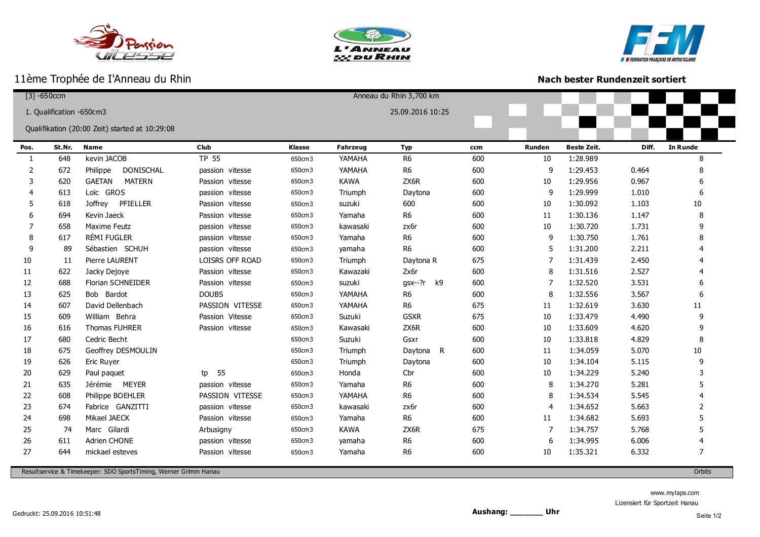







ı

## **Nach bester Rundenzeit sortiert**

|                                                | $[3] - 650$ ccm          |                                |                 |               |             | Anneau du Rhin 3,700 km |     |               |                    |       |                 |
|------------------------------------------------|--------------------------|--------------------------------|-----------------|---------------|-------------|-------------------------|-----|---------------|--------------------|-------|-----------------|
|                                                | 1. Qualification -650cm3 |                                |                 |               |             | 25.09.2016 10:25        |     |               |                    |       |                 |
|                                                |                          |                                |                 |               |             |                         |     |               |                    |       |                 |
| Qualifikation (20:00 Zeit) started at 10:29:08 |                          |                                |                 |               |             |                         |     |               |                    |       |                 |
| Pos.                                           | St.Nr.                   | <b>Name</b>                    | Club            | <b>Klasse</b> | Fahrzeug    | <b>Typ</b>              | ccm | <b>Runden</b> | <b>Beste Zeit.</b> | Diff. | <b>In Runde</b> |
| 1                                              | 648                      | kevin JACOB                    | <b>TP 55</b>    | 650cm3        | YAMAHA      | R <sub>6</sub>          | 600 | 10            | 1:28.989           |       | 8               |
| 2                                              | 672                      | DONISCHAL<br>Philippe          | passion vitesse | 650cm3        | YAMAHA      | R <sub>6</sub>          | 600 | 9             | 1:29.453           | 0.464 | 8               |
| 3                                              | 620                      | <b>GAETAN</b><br><b>MATERN</b> | Passion vitesse | 650cm3        | <b>KAWA</b> | ZX6R                    | 600 | 10            | 1:29.956           | 0.967 | 6               |
| 4                                              | 613                      | Loïc GROS                      | passion vitesse | 650cm3        | Triumph     | Daytona                 | 600 | 9             | 1:29.999           | 1.010 | 6               |
| 5                                              | 618                      | PFIELLER<br>Joffrey            | Passion vitesse | 650cm3        | suzuki      | 600                     | 600 | 10            | 1:30.092           | 1.103 | $10\,$          |
| 6                                              | 694                      | Kevin Jaeck                    | Passion vitesse | 650cm3        | Yamaha      | R <sub>6</sub>          | 600 | 11            | 1:30.136           | 1.147 | 8               |
| 7                                              | 658                      | <b>Maxime Feutz</b>            | passion vitesse | 650cm3        | kawasaki    | zx6r                    | 600 | 10            | 1:30.720           | 1.731 | 9               |
| 8                                              | 617                      | RÉMI FUGLER                    | passion vitesse | 650cm3        | Yamaha      | R <sub>6</sub>          | 600 | 9             | 1:30.750           | 1.761 | 8               |
| 9                                              | 89                       | Sébastien SCHUH                | passion vitesse | 650cm3        | yamaha      | R <sub>6</sub>          | 600 | 5             | 1:31.200           | 2.211 |                 |
| 10                                             | 11                       | Pierre LAURENT                 | LOISRS OFF ROAD | 650cm3        | Triumph     | Daytona R               | 675 | 7             | 1:31.439           | 2.450 |                 |
| 11                                             | 622                      | Jacky Dejoye                   | Passion vitesse | 650cm3        | Kawazaki    | Zx6r                    | 600 | 8             | 1:31.516           | 2.527 |                 |
| 12                                             | 688                      | <b>Florian SCHNEIDER</b>       | Passion vitesse | 650cm3        | suzuki      | $gsx--?r$<br>k9         | 600 | 7             | 1:32.520           | 3.531 |                 |
| 13                                             | 625                      | Bob Bardot                     | <b>DOUBS</b>    | 650cm3        | YAMAHA      | R <sub>6</sub>          | 600 | 8             | 1:32.556           | 3.567 | 6               |
| 14                                             | 607                      | David Dellenbach               | PASSION VITESSE | 650cm3        | YAMAHA      | R <sub>6</sub>          | 675 | 11            | 1:32.619           | 3.630 | 11              |
| 15                                             | 609                      | William Behra                  | Passion Vitesse | 650cm3        | Suzuki      | <b>GSXR</b>             | 675 | 10            | 1:33.479           | 4.490 | 9               |
| 16                                             | 616                      | Thomas FUHRER                  | Passion vitesse | 650cm3        | Kawasaki    | ZX6R                    | 600 | 10            | 1:33.609           | 4.620 | 9               |
| 17                                             | 680                      | Cedric Becht                   |                 | 650cm3        | Suzuki      | Gsxr                    | 600 | 10            | 1:33.818           | 4.829 | 8               |
| 18                                             | 675                      | Geoffrey DESMOULIN             |                 | 650cm3        | Triumph     | Daytona<br>R.           | 600 | 11            | 1:34.059           | 5.070 | 10              |
| 19                                             | 626                      | Eric Ruyer                     |                 | 650cm3        | Triumph     | Daytona                 | 600 | 10            | 1:34.104           | 5.115 | 9               |
| 20                                             | 629                      | Paul paquet                    | 55<br>tp        | 650cm3        | Honda       | Cbr                     | 600 | 10            | 1:34.229           | 5.240 |                 |
| 21                                             | 635                      | Jérémie MEYER                  | passion vitesse | 650cm3        | Yamaha      | R <sub>6</sub>          | 600 | 8             | 1:34.270           | 5.281 |                 |
| 22                                             | 608                      | Philippe BOEHLER               | PASSION VITESSE | 650cm3        | YAMAHA      | R <sub>6</sub>          | 600 | 8             | 1:34.534           | 5.545 |                 |
| 23                                             | 674                      | Fabrice GANZITTI               | passion vitesse | 650cm3        | kawasaki    | zx6r                    | 600 | 4             | 1:34.652           | 5.663 | $\mathcal{P}$   |
| 24                                             | 698                      | Mikael JAECK                   | Passion vitesse | 650cm3        | Yamaha      | R <sub>6</sub>          | 600 | 11            | 1:34.682           | 5.693 |                 |
| 25                                             | 74                       | Marc Gilardi                   | Arbusigny       | 650cm3        | <b>KAWA</b> | ZX6R                    | 675 | 7             | 1:34.757           | 5.768 |                 |
| 26                                             | 611                      | Adrien CHONE                   | passion vitesse | 650cm3        | yamaha      | R <sub>6</sub>          | 600 | 6             | 1:34.995           | 6.006 |                 |
| 27                                             | 644                      | mickael esteves                | Passion vitesse | 650cm3        | Yamaha      | R <sub>6</sub>          | 600 | 10            | 1:35.321           | 6.332 | 7               |
|                                                |                          |                                |                 |               |             |                         |     |               |                    |       |                 |

Resultservice & Timekeeper: SDO SportsTiming, Werner Grimm Hanau Orbits

www.mylaps.com

Lizensiert für Sportzeit Hanau